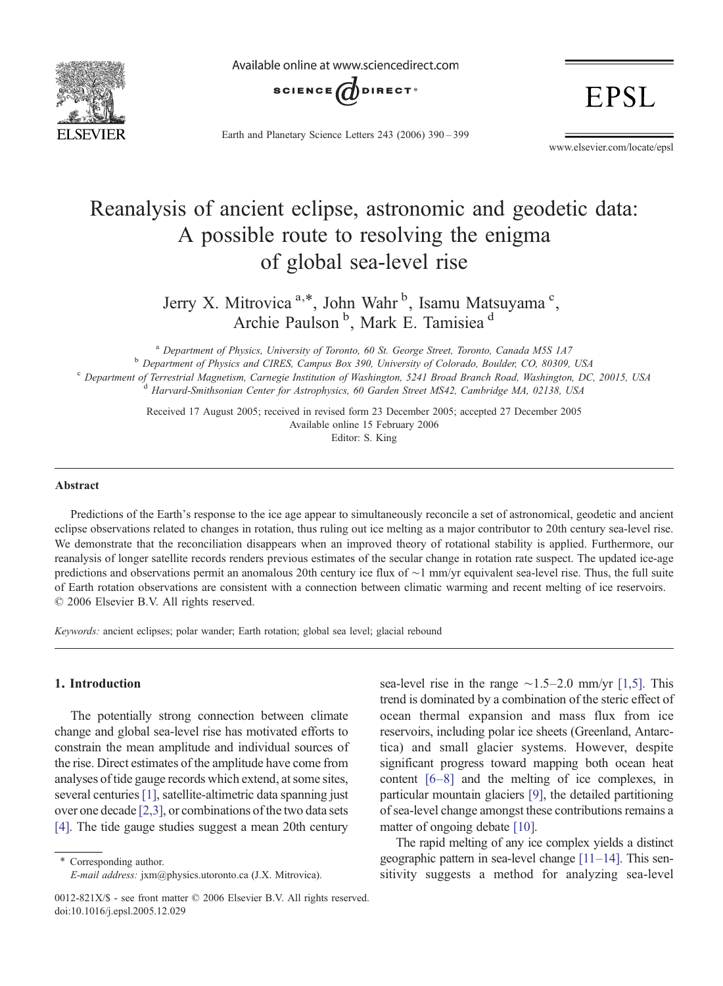

Available online at www.sciencedirect.com



Earth and Planetary Science Letters 243 (2006) 390–399

**EPSL** 

www.elsevier.com/locate/epsl

# Reanalysis of ancient eclipse, astronomic and geodetic data: A possible route to resolving the enigma of global sea-level rise

Jerry X. Mitrovica <sup>a,\*</sup>, John Wahr<sup>b</sup>, Isamu Matsuyama<sup>c</sup>, Archie Paulson<sup>b</sup>, Mark E. Tamisiea<sup>d</sup>

<sup>a</sup> Department of Physics, University of Toronto, 60 St. George Street, Toronto, Canada M5S 1A7 <sup>b</sup> Department of Physics and CIRES, Campus Box 390, University of Colorado, Boulder, CO, 80309, USA <sup>c</sup> Department of Terrestrial Magnetism, Carnegie Institution of Washington, 5241 Broad Branch Road, Washington, DC, 20015, USA d Harvard-Smithsonian Center for Astrophysics, 60 Garden Street MS42, Cambridge MA, 02138, US

> Received 17 August 2005; received in revised form 23 December 2005; accepted 27 December 2005 Available online 15 February 2006 Editor: S. King

# Abstract

Predictions of the Earth's response to the ice age appear to simultaneously reconcile a set of astronomical, geodetic and ancient eclipse observations related to changes in rotation, thus ruling out ice melting as a major contributor to 20th century sea-level rise. We demonstrate that the reconciliation disappears when an improved theory of rotational stability is applied. Furthermore, our reanalysis of longer satellite records renders previous estimates of the secular change in rotation rate suspect. The updated ice-age predictions and observations permit an anomalous 20th century ice flux of ∼1 mm/yr equivalent sea-level rise. Thus, the full suite of Earth rotation observations are consistent with a connection between climatic warming and recent melting of ice reservoirs. © 2006 Elsevier B.V. All rights reserved.

Keywords: ancient eclipses; polar wander; Earth rotation; global sea level; glacial rebound

# 1. Introduction

The potentially strong connection between climate change and global sea-level rise has motivated efforts to constrain the mean amplitude and individual sources of the rise. Direct estimates of the amplitude have come from analyses of tide gauge records which extend, at some sites, several centuries [\[1\],](#page-8-0) satellite-altimetric data spanning just over one decade [\[2,3\],](#page-8-0) or combinations of the two data sets [\[4\]](#page-8-0). The tide gauge studies suggest a mean 20th century

Corresponding author. E-mail address: jxm@physics.utoronto.ca (J.X. Mitrovica). sea-level rise in the range ∼1.5–2.0 mm/yr [\[1,5\].](#page-8-0) This trend is dominated by a combination of the steric effect of ocean thermal expansion and mass flux from ice reservoirs, including polar ice sheets (Greenland, Antarctica) and small glacier systems. However, despite significant progress toward mapping both ocean heat content [\[6](#page-8-0)–8] and the melting of ice complexes, in particular mountain glaciers [\[9\]](#page-8-0), the detailed partitioning of sea-level change amongst these contributions remains a matter of ongoing debate [\[10\].](#page-8-0)

The rapid melting of any ice complex yields a distinct geographic pattern in sea-level change [11–[14\].](#page-8-0) This sensitivity suggests a method for analyzing sea-level

<sup>0012-821</sup>X/\$ - see front matter © 2006 Elsevier B.V. All rights reserved. doi:10.1016/j.epsl.2005.12.029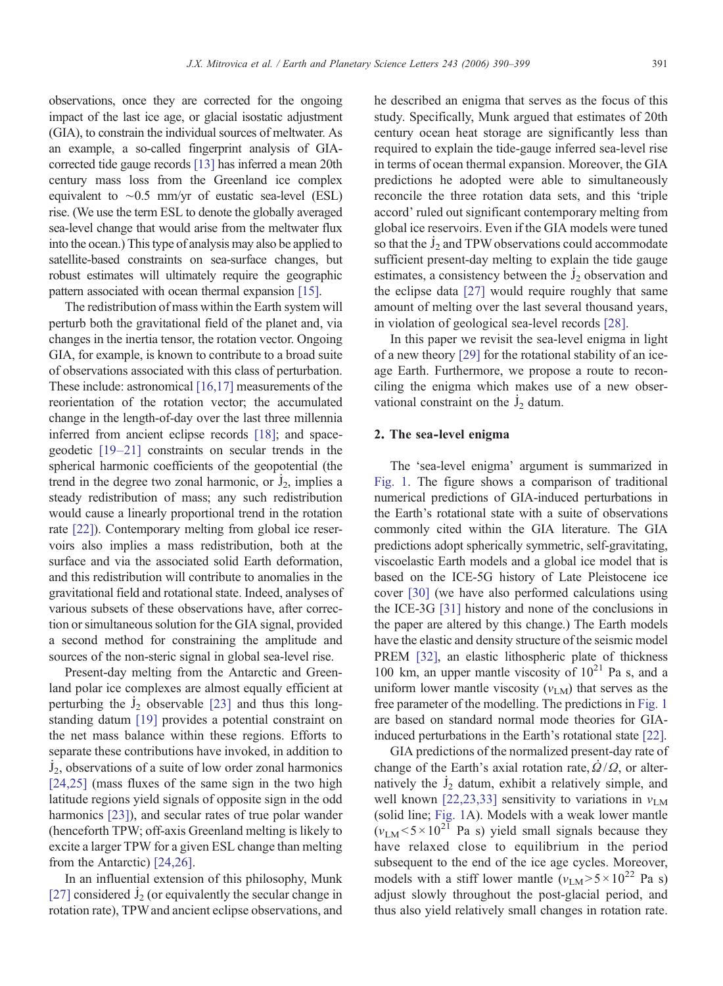observations, once they are corrected for the ongoing impact of the last ice age, or glacial isostatic adjustment (GIA), to constrain the individual sources of meltwater. As an example, a so-called fingerprint analysis of GIAcorrected tide gauge records [\[13\]](#page-8-0) has inferred a mean 20th century mass loss from the Greenland ice complex equivalent to ∼0.5 mm/yr of eustatic sea-level (ESL) rise. (We use the term ESL to denote the globally averaged sea-level change that would arise from the meltwater flux into the ocean.) This type of analysis may also be applied to satellite-based constraints on sea-surface changes, but robust estimates will ultimately require the geographic pattern associated with ocean thermal expansion [\[15\]](#page-8-0).

The redistribution of mass within the Earth system will perturb both the gravitational field of the planet and, via changes in the inertia tensor, the rotation vector. Ongoing GIA, for example, is known to contribute to a broad suite of observations associated with this class of perturbation. These include: astronomical [\[16,17\]](#page-8-0) measurements of the reorientation of the rotation vector; the accumulated change in the length-of-day over the last three millennia inferred from ancient eclipse records [\[18\];](#page-8-0) and spacegeodetic [\[19](#page-8-0)–21] constraints on secular trends in the spherical harmonic coefficients of the geopotential (the . trend in the degree two zonal harmonic, or  $J_2$ , implies a ˙ steady redistribution of mass; any such redistribution would cause a linearly proportional trend in the rotation rate [\[22\]\)](#page-8-0). Contemporary melting from global ice reservoirs also implies a mass redistribution, both at the surface and via the associated solid Earth deformation, and this redistribution will contribute to anomalies in the gravitational field and rotational state. Indeed, analyses of various subsets of these observations have, after correction or simultaneous solution for the GIA signal, provided a second method for constraining the amplitude and sources of the non-steric signal in global sea-level rise.

Present-day melting from the Antarctic and Greenland polar ice complexes are almost equally efficient at perturbing the  $J_2$  observable [\[23\]](#page-8-0) and thus this longstanding datum [\[19\]](#page-8-0) provides a potential constraint on the net mass balance within these regions. Efforts to separate these contributions have invoked, in addition to . J<sub>2</sub>, observations of a suite of low order zonal harmonics [\[24,25\]](#page-8-0) (mass fluxes of the same sign in the two high latitude regions yield signals of opposite sign in the odd harmonics [\[23\]\)](#page-8-0), and secular rates of true polar wander (henceforth TPW; off-axis Greenland melting is likely to excite a larger TPW for a given ESL change than melting from the Antarctic) [\[24,26\].](#page-8-0)

In an influential extension of this philosophy, Munk . [\[27\]](#page-8-0) considered  $J_2$  (or equivalently the secular change in rotation rate), TPW and ancient eclipse observations, and he described an enigma that serves as the focus of this study. Specifically, Munk argued that estimates of 20th century ocean heat storage are significantly less than required to explain the tide-gauge inferred sea-level rise in terms of ocean thermal expansion. Moreover, the GIA predictions he adopted were able to simultaneously reconcile the three rotation data sets, and this 'triple accord' ruled out significant contemporary melting from global ice reservoirs. Even if the GIA models were tuned . so that the  $J_2$  and TPW observations could accommodate sufficient present-day melting to explain the tide gauge . estimates, a consistency between the  $J_2$  observation and the eclipse data [\[27\]](#page-8-0) would require roughly that same amount of melting over the last several thousand years, in violation of geological sea-level records [\[28\]](#page-8-0).

In this paper we revisit the sea-level enigma in light of a new theory [\[29\]](#page-8-0) for the rotational stability of an iceage Earth. Furthermore, we propose a route to reconciling the enigma which makes use of a new obser-. vational constraint on the  $J_2$  datum.

# 2. The sea-level enigma

The 'sea-level enigma' argument is summarized in [Fig. 1](#page-2-0). The figure shows a comparison of traditional numerical predictions of GIA-induced perturbations in the Earth's rotational state with a suite of observations commonly cited within the GIA literature. The GIA predictions adopt spherically symmetric, self-gravitating, viscoelastic Earth models and a global ice model that is based on the ICE-5G history of Late Pleistocene ice cover [\[30\]](#page-8-0) (we have also performed calculations using the ICE-3G [\[31\]](#page-8-0) history and none of the conclusions in the paper are altered by this change.) The Earth models have the elastic and density structure of the seismic model PREM [\[32\],](#page-8-0) an elastic lithospheric plate of thickness 100 km, an upper mantle viscosity of  $10^{21}$  Pa s, and a uniform lower mantle viscosity  $(v<sub>LM</sub>)$  that serves as the free parameter of the modelling. The predictions in [Fig. 1](#page-2-0) are based on standard normal mode theories for GIAinduced perturbations in the Earth's rotational state [\[22\].](#page-8-0)

GIA predictions of the normalized present-day rate of change of the Earth's axial rotation rate,  $Q/Q$ , or alternatively the  $J_2$  datum, exhibit a relatively simple, and well known [\[22,23,33\]](#page-8-0) sensitivity to variations in  $v_{LM}$ (solid line; [Fig. 1](#page-2-0)A). Models with a weak lower mantle  $(v<sub>LM</sub> < 5 \times 10<sup>21</sup>$  Pa s) yield small signals because they have relaxed close to equilibrium in the period subsequent to the end of the ice age cycles. Moreover, models with a stiff lower mantle  $(\nu_{LM} > 5 \times 10^{22}$  Pa s) adjust slowly throughout the post-glacial period, and thus also yield relatively small changes in rotation rate.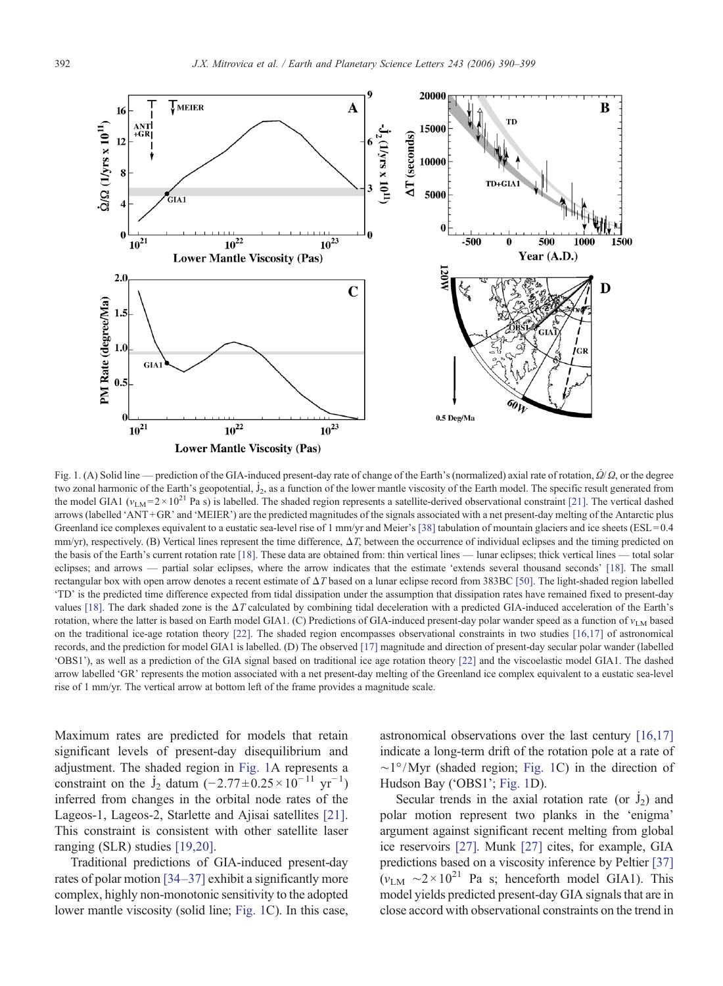<span id="page-2-0"></span>

Fig. 1. (A) Solid line — prediction of the GIA-induced present-day rate of change of the Earth's (normalized) axial rate of rotation,  $\dot{Q}/Q$ , or the degree two zonal harmonic of the Earth's geopotential, J<sub>2</sub>, as a function of the lower mantle viscosity of the Earth model. The specific result generated from the model GIA1 ( $v_{LM} = 2 \times 10^{21}$  Pa s) is labelled. The shaded region represents a satellite-derived observational constraint [\[21\]](#page-8-0). The vertical dashed arrows (labelled 'ANT +GR' and 'MEIER') are the predicted magnitudes of the signals associated with a net present-day melting of the Antarctic plus Greenland ice complexes equivalent to a eustatic sea-level rise of 1 mm/yr and Meier's [\[38\]](#page-9-0) tabulation of mountain glaciers and ice sheets (ESL=0.4) mm/yr), respectively. (B) Vertical lines represent the time difference, ΔT, between the occurrence of individual eclipses and the timing predicted on the basis of the Earth's current rotation rate [\[18\]](#page-8-0). These data are obtained from: thin vertical lines — lunar eclipses; thick vertical lines — total solar eclipses; and arrows — partial solar eclipses, where the arrow indicates that the estimate 'extends several thousand seconds' [\[18\].](#page-8-0) The small rectangular box with open arrow denotes a recent estimate of ΔT based on a lunar eclipse record from 383BC [\[50\]](#page-9-0). The light-shaded region labelled 'TD' is the predicted time difference expected from tidal dissipation under the assumption that dissipation rates have remained fixed to present-day values [\[18\].](#page-8-0) The dark shaded zone is the ΔT calculated by combining tidal deceleration with a predicted GIA-induced acceleration of the Earth's rotation, where the latter is based on Earth model GIA1. (C) Predictions of GIA-induced present-day polar wander speed as a function of  $v_{LM}$  based on the traditional ice-age rotation theory [\[22\].](#page-8-0) The shaded region encompasses observational constraints in two studies [\[16,17\]](#page-8-0) of astronomical records, and the prediction for model GIA1 is labelled. (D) The observed [\[17\]](#page-8-0) magnitude and direction of present-day secular polar wander (labelled 'OBS1'), as well as a prediction of the GIA signal based on traditional ice age rotation theory [\[22\]](#page-8-0) and the viscoelastic model GIA1. The dashed arrow labelled 'GR' represents the motion associated with a net present-day melting of the Greenland ice complex equivalent to a eustatic sea-level rise of 1 mm/yr. The vertical arrow at bottom left of the frame provides a magnitude scale.

Maximum rates are predicted for models that retain significant levels of present-day disequilibrium and adjustment. The shaded region in Fig. 1A represents a constraint on the  $\dot{J}_2$  datum  $(-2.77 \pm 0.25 \times 10^{-11} \text{ yr}^{-1})$ inferred from changes in the orbital node rates of the Lageos-1, Lageos-2, Starlette and Ajisai satellites [\[21\].](#page-8-0) This constraint is consistent with other satellite laser ranging (SLR) studies [\[19,20\].](#page-8-0)

Traditional predictions of GIA-induced present-day rates of polar motion [34–[37\]](#page-9-0) exhibit a significantly more complex, highly non-monotonic sensitivity to the adopted lower mantle viscosity (solid line; Fig. 1C). In this case,

astronomical observations over the last century [\[16,17\]](#page-8-0) indicate a long-term drift of the rotation pole at a rate of ∼1°/Myr (shaded region; Fig. 1C) in the direction of Hudson Bay ('OBS1'; Fig. 1D).

dison Bay ( $\overline{OB31}$ ; Fig. 1D).<br>Secular trends in the axial rotation rate (or  $\overline{J}_2$ ) and polar motion represent two planks in the 'enigma' argument against significant recent melting from global ice reservoirs [\[27\].](#page-8-0) Munk [\[27\]](#page-8-0) cites, for example, GIA predictions based on a viscosity inference by Peltier [\[37\]](#page-9-0)  $(v<sub>LM</sub> ~ 2 \times 10<sup>21</sup>$  Pa s; henceforth model GIA1). This model yields predicted present-day GIA signals that are in close accord with observational constraints on the trend in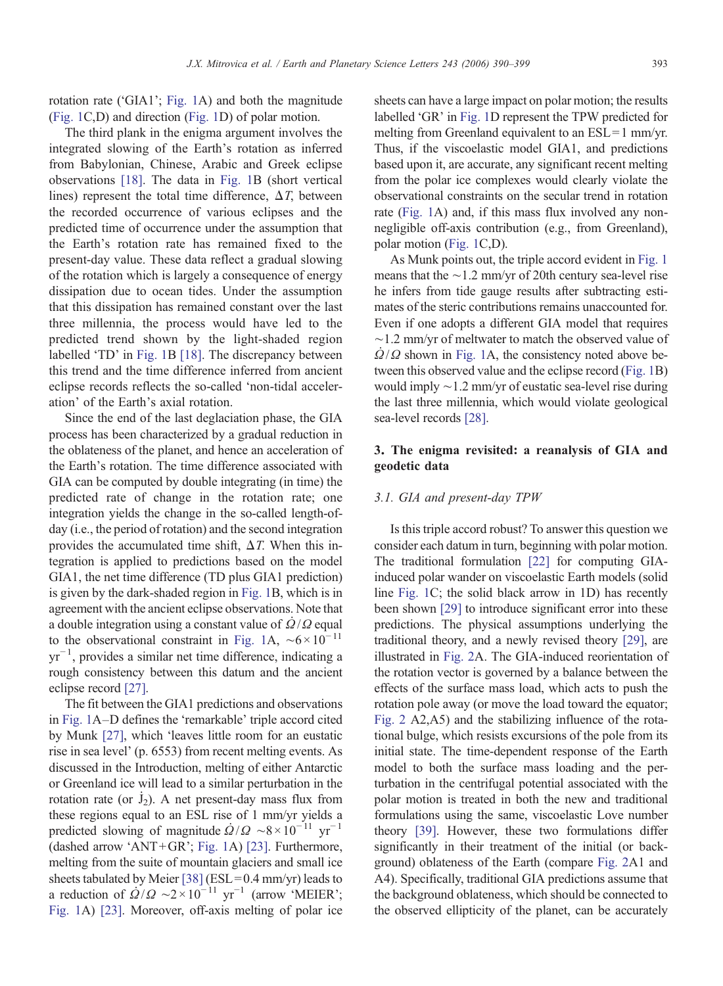rotation rate ('GIA1'; [Fig. 1](#page-2-0)A) and both the magnitude [\(Fig. 1](#page-2-0)C,D) and direction [\(Fig. 1](#page-2-0)D) of polar motion.

The third plank in the enigma argument involves the integrated slowing of the Earth's rotation as inferred from Babylonian, Chinese, Arabic and Greek eclipse observations [\[18\]](#page-8-0). The data in [Fig. 1B](#page-2-0) (short vertical lines) represent the total time difference,  $\Delta T$ , between the recorded occurrence of various eclipses and the predicted time of occurrence under the assumption that the Earth's rotation rate has remained fixed to the present-day value. These data reflect a gradual slowing of the rotation which is largely a consequence of energy dissipation due to ocean tides. Under the assumption that this dissipation has remained constant over the last three millennia, the process would have led to the predicted trend shown by the light-shaded region labelled 'TD' in [Fig. 1](#page-2-0)B [\[18\].](#page-8-0) The discrepancy between this trend and the time difference inferred from ancient eclipse records reflects the so-called 'non-tidal acceleration' of the Earth's axial rotation.

Since the end of the last deglaciation phase, the GIA process has been characterized by a gradual reduction in the oblateness of the planet, and hence an acceleration of the Earth's rotation. The time difference associated with GIA can be computed by double integrating (in time) the predicted rate of change in the rotation rate; one integration yields the change in the so-called length-ofday (i.e., the period of rotation) and the second integration provides the accumulated time shift,  $\Delta T$ . When this integration is applied to predictions based on the model GIA1, the net time difference (TD plus GIA1 prediction) is given by the dark-shaded region in [Fig. 1](#page-2-0)B, which is in agreement with the ancient eclipse observations. Note that . a double integration using a constant value of  $\Omega/\Omega$  equal to the observational constraint in [Fig. 1](#page-2-0)A,  $\sim 6 \times 10^{-11}$ yr−<sup>1</sup> , provides a similar net time difference, indicating a rough consistency between this datum and the ancient eclipse record [\[27\].](#page-8-0)

The fit between the GIA1 predictions and observations in [Fig. 1A](#page-2-0)–D defines the 'remarkable' triple accord cited by Munk [\[27\]](#page-8-0), which 'leaves little room for an eustatic rise in sea level' (p. 6553) from recent melting events. As discussed in the Introduction, melting of either Antarctic or Greenland ice will lead to a similar perturbation in the . rotation rate (or  $J_2$ ). A net present-day mass flux from these regions equal to an ESL rise of 1 mm/yr yields a predicted slowing of magnitude  $\dot{Q}/Q \sim 8 \times 10^{-11}$  yr<sup>-1</sup> (dashed arrow 'ANT+GR'; [Fig. 1](#page-2-0)A) [\[23\].](#page-8-0) Furthermore, melting from the suite of mountain glaciers and small ice sheets tabulated by Meier [\[38\]](#page-9-0) (ESL =  $0.4$  mm/yr) leads to sheets tabulated by Meler [58] (ESL-0.4 mm/yr) leads to<br>a reduction of  $\dot{Q}/Q \sim 2 \times 10^{-11}$  yr<sup>-1</sup> (arrow 'MEIER'; [Fig. 1](#page-2-0)A) [\[23\].](#page-8-0) Moreover, off-axis melting of polar ice

sheets can have a large impact on polar motion; the results labelled 'GR' in [Fig. 1](#page-2-0)D represent the TPW predicted for melting from Greenland equivalent to an  $ESL=1$  mm/yr. Thus, if the viscoelastic model GIA1, and predictions based upon it, are accurate, any significant recent melting from the polar ice complexes would clearly violate the observational constraints on the secular trend in rotation rate [\(Fig. 1A](#page-2-0)) and, if this mass flux involved any nonnegligible off-axis contribution (e.g., from Greenland), polar motion [\(Fig. 1](#page-2-0)C,D).

As Munk points out, the triple accord evident in [Fig. 1](#page-2-0) means that the ∼1.2 mm/yr of 20th century sea-level rise he infers from tide gauge results after subtracting estimates of the steric contributions remains unaccounted for. Even if one adopts a different GIA model that requires  $\sim$ 1.2 mm/yr of meltwater to match the observed value of  $\Omega/\Omega$  shown in [Fig. 1](#page-2-0)A, the consistency noted above between this observed value and the eclipse record [\(Fig. 1](#page-2-0)B) would imply ∼1.2 mm/yr of eustatic sea-level rise during the last three millennia, which would violate geological sea-level records [\[28\].](#page-8-0)

# 3. The enigma revisited: a reanalysis of GIA and geodetic data

#### 3.1. GIA and present-day TPW

Is this triple accord robust? To answer this question we consider each datum in turn, beginning with polar motion. The traditional formulation [\[22\]](#page-8-0) for computing GIAinduced polar wander on viscoelastic Earth models (solid line [Fig. 1C](#page-2-0); the solid black arrow in 1D) has recently been shown [\[29\]](#page-8-0) to introduce significant error into these predictions. The physical assumptions underlying the traditional theory, and a newly revised theory [\[29\]](#page-8-0), are illustrated in [Fig. 2](#page-4-0)A. The GIA-induced reorientation of the rotation vector is governed by a balance between the effects of the surface mass load, which acts to push the rotation pole away (or move the load toward the equator; [Fig. 2](#page-4-0) A2,A5) and the stabilizing influence of the rotational bulge, which resists excursions of the pole from its initial state. The time-dependent response of the Earth model to both the surface mass loading and the perturbation in the centrifugal potential associated with the polar motion is treated in both the new and traditional formulations using the same, viscoelastic Love number theory [\[39\].](#page-9-0) However, these two formulations differ significantly in their treatment of the initial (or background) oblateness of the Earth (compare [Fig. 2A](#page-4-0)1 and A4). Specifically, traditional GIA predictions assume that the background oblateness, which should be connected to the observed ellipticity of the planet, can be accurately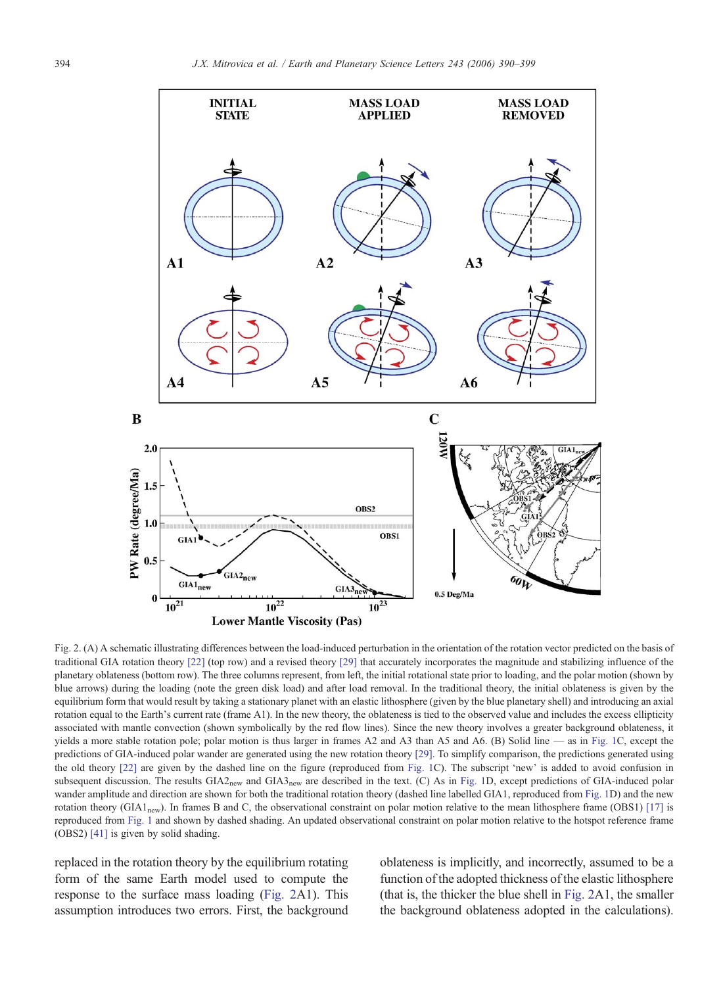<span id="page-4-0"></span>

Fig. 2. (A) A schematic illustrating differences between the load-induced perturbation in the orientation of the rotation vector predicted on the basis of traditional GIA rotation theory [\[22\]](#page-8-0) (top row) and a revised theory [\[29\]](#page-8-0) that accurately incorporates the magnitude and stabilizing influence of the planetary oblateness (bottom row). The three columns represent, from left, the initial rotational state prior to loading, and the polar motion (shown by blue arrows) during the loading (note the green disk load) and after load removal. In the traditional theory, the initial oblateness is given by the equilibrium form that would result by taking a stationary planet with an elastic lithosphere (given by the blue planetary shell) and introducing an axial rotation equal to the Earth's current rate (frame A1). In the new theory, the oblateness is tied to the observed value and includes the excess ellipticity associated with mantle convection (shown symbolically by the red flow lines). Since the new theory involves a greater background oblateness, it yields a more stable rotation pole; polar motion is thus larger in frames A2 and A3 than A5 and A6. (B) Solid line — as in [Fig. 1C](#page-2-0), except the predictions of GIA-induced polar wander are generated using the new rotation theory [\[29\].](#page-8-0) To simplify comparison, the predictions generated using the old theory [\[22\]](#page-8-0) are given by the dashed line on the figure (reproduced from [Fig. 1C](#page-2-0)). The subscript 'new' is added to avoid confusion in subsequent discussion. The results GIA2<sub>new</sub> and GIA3<sub>new</sub> are described in the text. (C) As in [Fig. 1](#page-2-0)D, except predictions of GIA-induced polar wander amplitude and direction are shown for both the traditional rotation theory (dashed line labelled GIA1, reproduced from [Fig. 1](#page-2-0)D) and the new rotation theory (GIA1<sub>new</sub>). In frames B and C, the observational constraint on polar motion relative to the mean lithosphere frame (OBS1) [\[17\]](#page-8-0) is reproduced from [Fig. 1](#page-2-0) and shown by dashed shading. An updated observational constraint on polar motion relative to the hotspot reference frame (OBS2) [\[41\]](#page-9-0) is given by solid shading.

replaced in the rotation theory by the equilibrium rotating form of the same Earth model used to compute the response to the surface mass loading (Fig. 2A1). This assumption introduces two errors. First, the background oblateness is implicitly, and incorrectly, assumed to be a function of the adopted thickness of the elastic lithosphere (that is, the thicker the blue shell in Fig. 2A1, the smaller the background oblateness adopted in the calculations).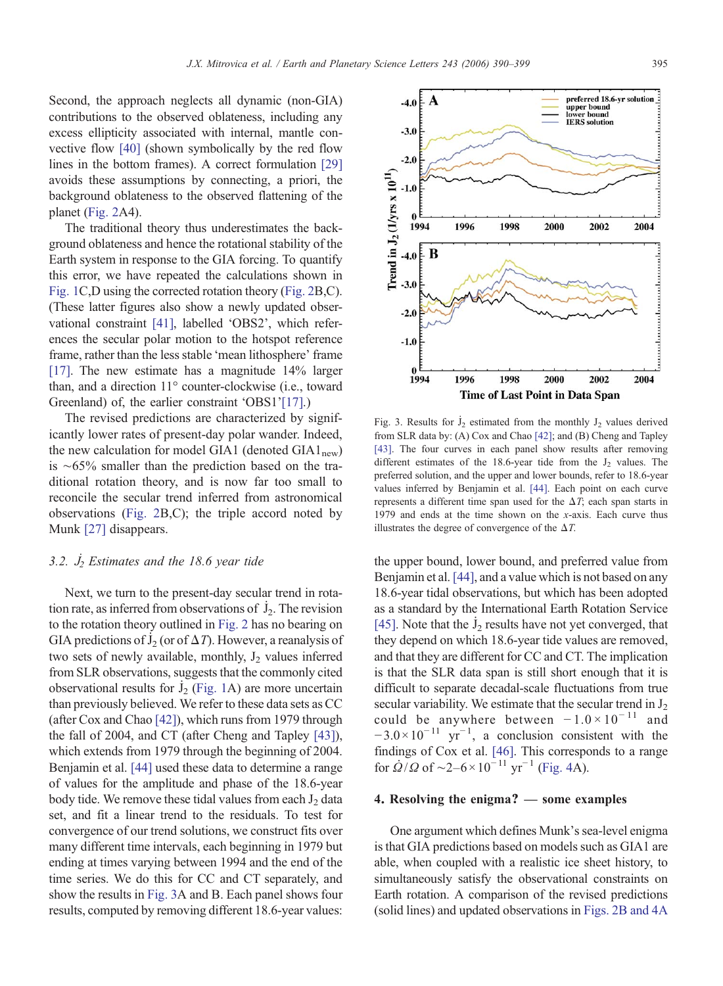<span id="page-5-0"></span>Second, the approach neglects all dynamic (non-GIA) contributions to the observed oblateness, including any excess ellipticity associated with internal, mantle convective flow [\[40\]](#page-9-0) (shown symbolically by the red flow lines in the bottom frames). A correct formulation [\[29\]](#page-8-0) avoids these assumptions by connecting, a priori, the background oblateness to the observed flattening of the planet [\(Fig. 2](#page-4-0)A4).

The traditional theory thus underestimates the background oblateness and hence the rotational stability of the Earth system in response to the GIA forcing. To quantify this error, we have repeated the calculations shown in [Fig. 1C](#page-2-0),D using the corrected rotation theory ([Fig. 2B](#page-4-0),C). (These latter figures also show a newly updated observational constraint [\[41\],](#page-9-0) labelled 'OBS2', which references the secular polar motion to the hotspot reference frame, rather than the less stable 'mean lithosphere' frame [\[17\].](#page-8-0) The new estimate has a magnitude 14% larger than, and a direction 11° counter-clockwise (i.e., toward Greenland) of, the earlier constraint 'OBS1'[\[17\]](#page-8-0).)

The revised predictions are characterized by significantly lower rates of present-day polar wander. Indeed, the new calculation for model GIA1 (denoted  $GIA1_{\text{new}}$ ) is ∼65% smaller than the prediction based on the traditional rotation theory, and is now far too small to reconcile the secular trend inferred from astronomical observations ([Fig. 2B](#page-4-0),C); the triple accord noted by Munk [\[27\]](#page-8-0) disappears.

#### $3.2. J_2$ <sup>i</sup><sub>2</sub> Estimates and the 18.6 year tide

Next, we turn to the present-day secular trend in rotation rate, as inferred from observations of  $J_2$ . The revision ˙ to the rotation theory outlined in [Fig. 2](#page-4-0) has no bearing on to the rotation theory outfined in Fig. 2 has no bearing on<br>GIA predictions of  $J_2$  (or of  $\Delta T$ ). However, a reanalysis of ˙ two sets of newly available, monthly,  $J_2$  values inferred from SLR observations, suggests that the commonly cited from SLK observations, suggests that the commonly cried<br>observational results for  $\dot{J}_2$  [\(Fig. 1](#page-2-0)A) are more uncertain than previously believed. We refer to these data sets as CC (after Cox and Chao [\[42\]\)](#page-9-0), which runs from 1979 through the fall of 2004, and CT (after Cheng and Tapley [\[43\]](#page-9-0)), which extends from 1979 through the beginning of 2004. Benjamin et al. [\[44\]](#page-9-0) used these data to determine a range of values for the amplitude and phase of the 18.6-year body tide. We remove these tidal values from each  $J_2$  data set, and fit a linear trend to the residuals. To test for convergence of our trend solutions, we construct fits over many different time intervals, each beginning in 1979 but ending at times varying between 1994 and the end of the time series. We do this for CC and CT separately, and show the results in Fig. 3A and B. Each panel shows four results, computed by removing different 18.6-year values:



Fig. 3. Results for  $\dot{J}_2$  estimated from the monthly  $J_2$  values derived ˙ from SLR data by: (A) Cox and Chao [\[42\];](#page-9-0) and (B) Cheng and Tapley [\[43\]](#page-9-0). The four curves in each panel show results after removing different estimates of the 18.6-year tide from the  $J_2$  values. The preferred solution, and the upper and lower bounds, refer to 18.6-year values inferred by Benjamin et al. [\[44\]](#page-9-0). Each point on each curve represents a different time span used for the  $\Delta T$ ; each span starts in 1979 and ends at the time shown on the x-axis. Each curve thus illustrates the degree of convergence of the  $\Delta T$ .

the upper bound, lower bound, and preferred value from Benjamin et al. [\[44\]](#page-9-0), and a value which is not based on any 18.6-year tidal observations, but which has been adopted as a standard by the International Earth Rotation Service as a standard by the international Earth Rotation Service  $[45]$ . Note that the  $\dot{J}_2$  results have not yet converged, that ˙ they depend on which 18.6-year tide values are removed, and that they are different for CC and CT. The implication is that the SLR data span is still short enough that it is difficult to separate decadal-scale fluctuations from true secular variability. We estimate that the secular trend in  $J_2$ could be anywhere between  $-1.0 \times 10^{-11}$  and  $-3.0 \times 10^{-11}$  yr<sup>-1</sup>, a conclusion consistent with the findings of Cox et al. [\[46\].](#page-9-0) This corresponds to a range for  $\dot{Q}/Q$  of ~2–6 × 10<sup>-11</sup> yr<sup>-1</sup> [\(Fig. 4](#page-6-0)A).

### 4. Resolving the enigma? — some examples

One argument which defines Munk's sea-level enigma is that GIA predictions based on models such as GIA1 are able, when coupled with a realistic ice sheet history, to simultaneously satisfy the observational constraints on Earth rotation. A comparison of the revised predictions (solid lines) and updated observations in [Figs. 2B and 4A](#page-4-0)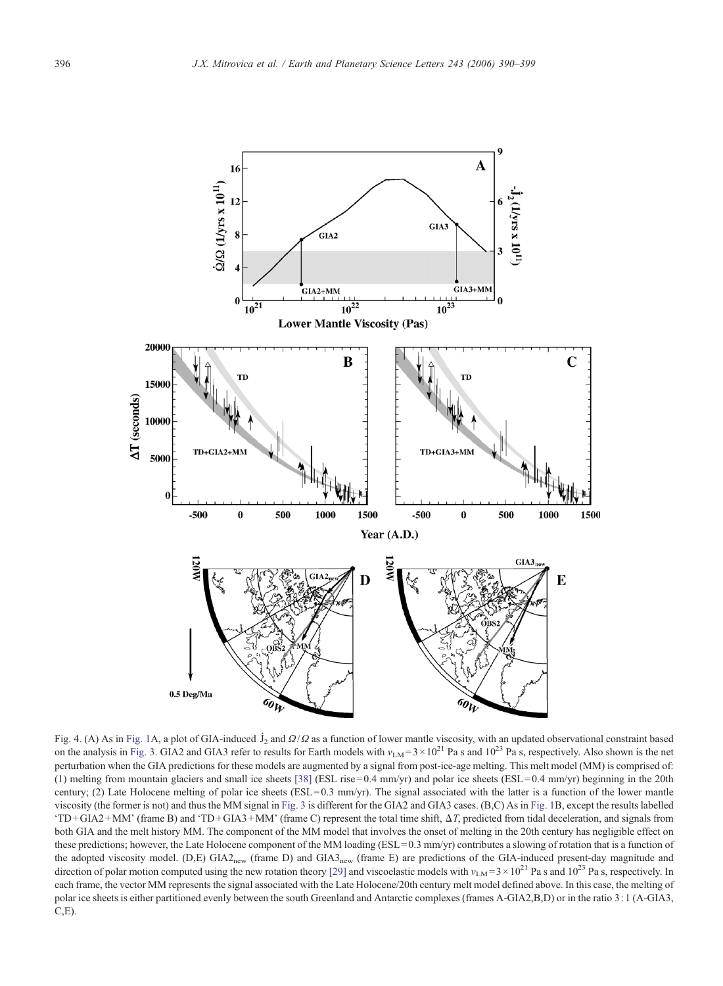<span id="page-6-0"></span>

Fig. 4. (A) As in [Fig. 1A](#page-2-0), a plot of GIA-induced  $\dot{J}_2$  and  $\Omega/\Omega$  as a function of lower mantle viscosity, with an updated observational constraint based on the analysis in [Fig. 3.](#page-5-0) GIA2 and GIA3 refer to results for Earth models with  $v_{LM} = 3 \times 10^{21}$  Pa s and  $10^{23}$  Pa s, respectively. Also shown is the net perturbation when the GIA predictions for these models are augmented by a signal from post-ice-age melting. This melt model (MM) is comprised of: (1) melting from mountain glaciers and small ice sheets [\[38\]](#page-9-0) (ESL rise=0.4 mm/yr) and polar ice sheets (ESL=0.4 mm/yr) beginning in the 20th century; (2) Late Holocene melting of polar ice sheets (ESL =  $0.3 \text{ mm/yr}$ ). The signal associated with the latter is a function of the lower mantle viscosity (the former is not) and thus the MM signal in [Fig. 3](#page-5-0) is different for the GIA2 and GIA3 cases. (B,C) As in [Fig. 1B](#page-2-0), except the results labelled 'TD +GIA2 +MM' (frame B) and 'TD + GIA3+MM' (frame C) represent the total time shift, ΔT, predicted from tidal deceleration, and signals from both GIA and the melt history MM. The component of the MM model that involves the onset of melting in the 20th century has negligible effect on these predictions; however, the Late Holocene component of the MM loading (ESL=0.3 mm/yr) contributes a slowing of rotation that is a function of the adopted viscosity model. (D,E) GIA2<sub>new</sub> (frame D) and GIA3<sub>new</sub> (frame E) are predictions of the GIA-induced present-day magnitude and direction of polar motion computed using the new rotation theory [\[29\]](#page-8-0) and viscoelastic models with  $v_{LM} = 3 \times 10^{21}$  Pa s and  $10^{23}$  Pa s, respectively. In each frame, the vector MM represents the signal associated with the Late Holocene/20th century melt model defined above. In this case, the melting of polar ice sheets is either partitioned evenly between the south Greenland and Antarctic complexes (frames A-GIA2,B,D) or in the ratio 3: 1 (A-GIA3,  $C, E$ ).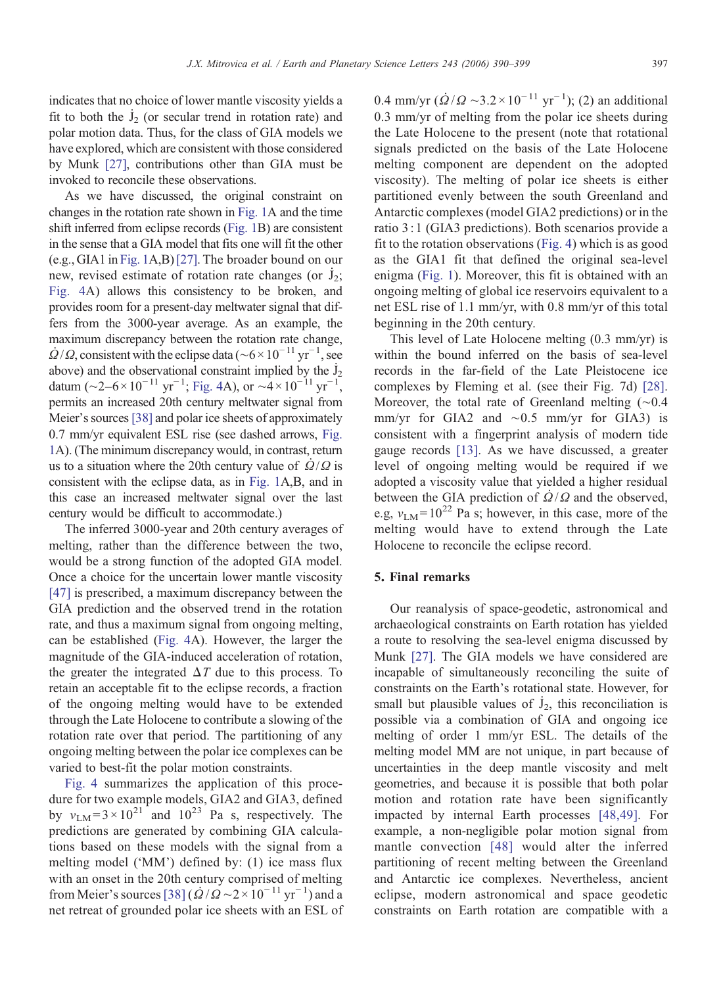indicates that no choice of lower mantle viscosity yields a fit to both the  $\dot{J}_2$  (or secular trend in rotation rate) and polar motion data. Thus, for the class of GIA models we have explored, which are consistent with those considered by Munk [\[27\]](#page-8-0), contributions other than GIA must be invoked to reconcile these observations.

As we have discussed, the original constraint on changes in the rotation rate shown in [Fig. 1](#page-2-0)A and the time shift inferred from eclipse records [\(Fig. 1B](#page-2-0)) are consistent in the sense that a GIA model that fits one will fit the other (e.g., GIA1 in [Fig. 1](#page-2-0)A,B)[\[27\].](#page-8-0) The broader bound on our . new, revised estimate of rotation rate changes (or  $J_2$ ; [Fig. 4A](#page-6-0)) allows this consistency to be broken, and provides room for a present-day meltwater signal that differs from the 3000-year average. As an example, the maximum discrepancy between the rotation rate change,  $\dot{Q}/Q$ , consistent with the eclipse data ( $\sim 6 \times 10^{-11}$  yr<sup>-1</sup>, see show above) and the observational constraint implied by the  $j_2$ ˙ datum (~2–6 × 10<sup>-11</sup> yr<sup>-1</sup>; [Fig. 4A](#page-6-0)), or ~4 × 10<sup>-11</sup> yr<sup>-1</sup>, permits an increased 20th century meltwater signal from Meier's sources [\[38\]](#page-9-0) and polar ice sheets of approximately 0.7 mm/yr equivalent ESL rise (see dashed arrows, [Fig.](#page-2-0) [1A](#page-2-0)). (The minimum discrepancy would, in contrast, return . us to a situation where the 20th century value of  $\Omega/\Omega$  is consistent with the eclipse data, as in [Fig. 1](#page-2-0)A,B, and in this case an increased meltwater signal over the last century would be difficult to accommodate.)

The inferred 3000-year and 20th century averages of melting, rather than the difference between the two, would be a strong function of the adopted GIA model. Once a choice for the uncertain lower mantle viscosity [\[47\]](#page-9-0) is prescribed, a maximum discrepancy between the GIA prediction and the observed trend in the rotation rate, and thus a maximum signal from ongoing melting, can be established [\(Fig. 4A](#page-6-0)). However, the larger the magnitude of the GIA-induced acceleration of rotation, the greater the integrated  $\Delta T$  due to this process. To retain an acceptable fit to the eclipse records, a fraction of the ongoing melting would have to be extended through the Late Holocene to contribute a slowing of the rotation rate over that period. The partitioning of any ongoing melting between the polar ice complexes can be varied to best-fit the polar motion constraints.

[Fig. 4](#page-6-0) summarizes the application of this procedure for two example models, GIA2 and GIA3, defined by  $v_{LM} = 3 \times 10^{21}$  and  $10^{23}$  Pa s, respectively. The predictions are generated by combining GIA calculations based on these models with the signal from a melting model ('MM') defined by: (1) ice mass flux with an onset in the 20th century comprised of melting from Meier's sources [\[38\]](#page-9-0)  $(\dot{Q}/\dot{Q} \sim 2 \times 10^{-11} \text{ yr}^{-1})$  and a net retreat of grounded polar ice sheets with an ESL of

0.4 mm/yr  $(\dot{Q}/Q \sim 3.2 \times 10^{-11} \text{ yr}^{-1})$ ; (2) an additional 0.3 mm/yr of melting from the polar ice sheets during the Late Holocene to the present (note that rotational signals predicted on the basis of the Late Holocene melting component are dependent on the adopted viscosity). The melting of polar ice sheets is either partitioned evenly between the south Greenland and Antarctic complexes (model GIA2 predictions) or in the ratio 3: 1 (GIA3 predictions). Both scenarios provide a fit to the rotation observations ([Fig. 4](#page-6-0)) which is as good as the GIA1 fit that defined the original sea-level enigma ([Fig. 1\)](#page-2-0). Moreover, this fit is obtained with an ongoing melting of global ice reservoirs equivalent to a net ESL rise of 1.1 mm/yr, with 0.8 mm/yr of this total beginning in the 20th century.

This level of Late Holocene melting (0.3 mm/yr) is within the bound inferred on the basis of sea-level records in the far-field of the Late Pleistocene ice complexes by Fleming et al. (see their Fig. 7d) [\[28\].](#page-8-0) Moreover, the total rate of Greenland melting (∼0.4 mm/yr for GIA2 and ∼0.5 mm/yr for GIA3) is consistent with a fingerprint analysis of modern tide gauge records [\[13\]](#page-8-0). As we have discussed, a greater level of ongoing melting would be required if we adopted a viscosity value that yielded a higher residual . between the GIA prediction of  $\Omega/\Omega$  and the observed, e.g,  $v_{LM} = 10^{22}$  Pa s; however, in this case, more of the melting would have to extend through the Late Holocene to reconcile the eclipse record.

# 5. Final remarks

Our reanalysis of space-geodetic, astronomical and archaeological constraints on Earth rotation has yielded a route to resolving the sea-level enigma discussed by Munk [\[27\]](#page-8-0). The GIA models we have considered are incapable of simultaneously reconciling the suite of constraints on the Earth's rotational state. However, for . small but plausible values of  $J_2$ , this reconciliation is possible via a combination of GIA and ongoing ice melting of order 1 mm/yr ESL. The details of the melting model MM are not unique, in part because of uncertainties in the deep mantle viscosity and melt geometries, and because it is possible that both polar motion and rotation rate have been significantly impacted by internal Earth processes [\[48,49\]](#page-9-0). For example, a non-negligible polar motion signal from mantle convection [\[48\]](#page-9-0) would alter the inferred partitioning of recent melting between the Greenland and Antarctic ice complexes. Nevertheless, ancient eclipse, modern astronomical and space geodetic constraints on Earth rotation are compatible with a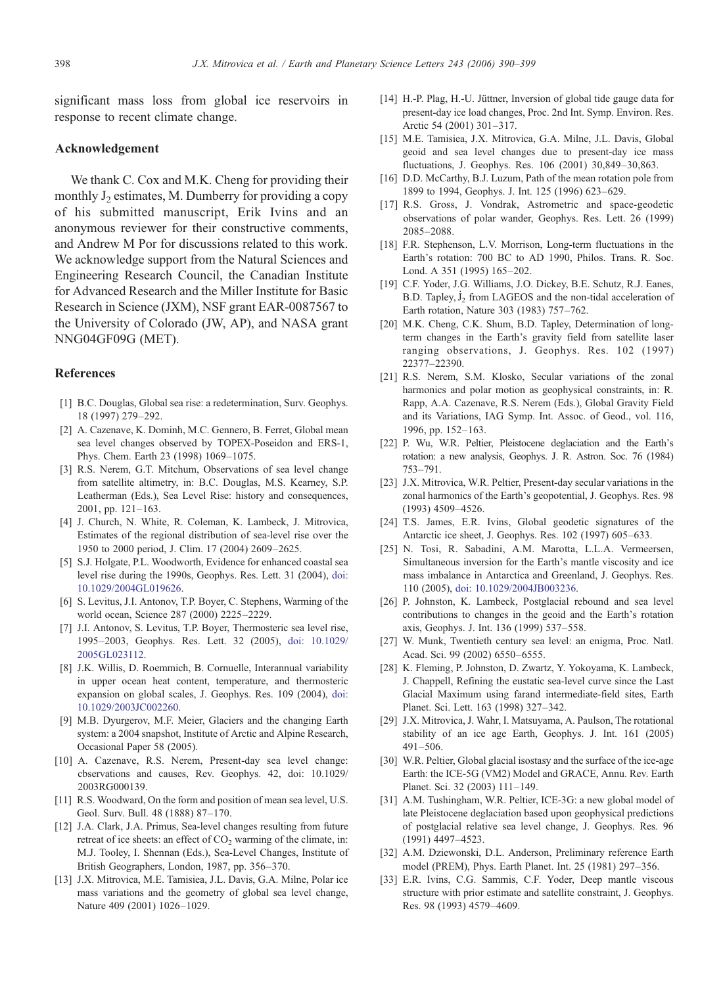<span id="page-8-0"></span>significant mass loss from global ice reservoirs in response to recent climate change.

### Acknowledgement

We thank C. Cox and M.K. Cheng for providing their monthly  $J_2$  estimates, M. Dumberry for providing a copy of his submitted manuscript, Erik Ivins and an anonymous reviewer for their constructive comments, and Andrew M Por for discussions related to this work. We acknowledge support from the Natural Sciences and Engineering Research Council, the Canadian Institute for Advanced Research and the Miller Institute for Basic Research in Science (JXM), NSF grant EAR-0087567 to the University of Colorado (JW, AP), and NASA grant NNG04GF09G (MET).

#### References

- [1] B.C. Douglas, Global sea rise: a redetermination, Surv. Geophys. 18 (1997) 279–292.
- [2] A. Cazenave, K. Dominh, M.C. Gennero, B. Ferret, Global mean sea level changes observed by TOPEX-Poseidon and ERS-1, Phys. Chem. Earth 23 (1998) 1069–1075.
- [3] R.S. Nerem, G.T. Mitchum, Observations of sea level change from satellite altimetry, in: B.C. Douglas, M.S. Kearney, S.P. Leatherman (Eds.), Sea Level Rise: history and consequences, 2001, pp. 121–163.
- [4] J. Church, N. White, R. Coleman, K. Lambeck, J. Mitrovica, Estimates of the regional distribution of sea-level rise over the 1950 to 2000 period, J. Clim. 17 (2004) 2609–2625.
- [5] S.J. Holgate, P.L. Woodworth, Evidence for enhanced coastal sea level rise during the 1990s, Geophys. Res. Lett. 31 (2004), [doi:](http://dx.doi.org/doi:10.1029/2004GL019626) 10.1029/2004GL019626.
- [6] S. Levitus, J.I. Antonov, T.P. Boyer, C. Stephens, Warming of the world ocean, Science 287 (2000) 2225–2229.
- [7] J.I. Antonov, S. Levitus, T.P. Boyer, Thermosteric sea level rise, 1995–2003, Geophys. Res. Lett. 32 (2005), [doi: 10.1029/](http://dx.doi.org/doi:10.1029/2005GL023112) 2005GL023112.
- [8] J.K. Willis, D. Roemmich, B. Cornuelle, Interannual variability in upper ocean heat content, temperature, and thermosteric expansion on global scales, J. Geophys. Res. 109 (2004), [doi:](http://dx.doi.org/doi:10.1029/2003JC002260) 10.1029/2003JC002260.
- [9] M.B. Dyurgerov, M.F. Meier, Glaciers and the changing Earth system: a 2004 snapshot, Institute of Arctic and Alpine Research, Occasional Paper 58 (2005).
- [10] A. Cazenave, R.S. Nerem, Present-day sea level change: cbservations and causes, Rev. Geophys. 42, doi: 10.1029/ 2003RG000139.
- [11] R.S. Woodward, On the form and position of mean sea level, U.S. Geol. Surv. Bull. 48 (1888) 87–170.
- [12] J.A. Clark, J.A. Primus, Sea-level changes resulting from future retreat of ice sheets: an effect of  $CO<sub>2</sub>$  warming of the climate, in: M.J. Tooley, I. Shennan (Eds.), Sea-Level Changes, Institute of British Geographers, London, 1987, pp. 356–370.
- [13] J.X. Mitrovica, M.E. Tamisiea, J.L. Davis, G.A. Milne, Polar ice mass variations and the geometry of global sea level change, Nature 409 (2001) 1026–1029.
- [14] H.-P. Plag, H.-U. Jüttner, Inversion of global tide gauge data for present-day ice load changes, Proc. 2nd Int. Symp. Environ. Res. Arctic 54 (2001) 301–317.
- [15] M.E. Tamisiea, J.X. Mitrovica, G.A. Milne, J.L. Davis, Global geoid and sea level changes due to present-day ice mass fluctuations, J. Geophys. Res. 106 (2001) 30,849–30,863.
- [16] D.D. McCarthy, B.J. Luzum, Path of the mean rotation pole from 1899 to 1994, Geophys. J. Int. 125 (1996) 623–629.
- [17] R.S. Gross, J. Vondrak, Astrometric and space-geodetic observations of polar wander, Geophys. Res. Lett. 26 (1999) 2085–2088.
- [18] F.R. Stephenson, L.V. Morrison, Long-term fluctuations in the Earth's rotation: 700 BC to AD 1990, Philos. Trans. R. Soc. Lond. A 351 (1995) 165–202.
- [19] C.F. Yoder, J.G. Williams, J.O. Dickey, B.E. Schutz, R.J. Eanes, . B.D. Tapley, J<sub>2</sub> from LAGEOS and the non-tidal acceleration of ˙ Earth rotation, Nature 303 (1983) 757–762.
- [20] M.K. Cheng, C.K. Shum, B.D. Tapley, Determination of longterm changes in the Earth's gravity field from satellite laser ranging observations, J. Geophys. Res. 102 (1997) 22377–22390.
- [21] R.S. Nerem, S.M. Klosko, Secular variations of the zonal harmonics and polar motion as geophysical constraints, in: R. Rapp, A.A. Cazenave, R.S. Nerem (Eds.), Global Gravity Field and its Variations, IAG Symp. Int. Assoc. of Geod., vol. 116, 1996, pp. 152–163.
- [22] P. Wu, W.R. Peltier, Pleistocene deglaciation and the Earth's rotation: a new analysis, Geophys. J. R. Astron. Soc. 76 (1984) 753–791.
- [23] J.X. Mitrovica, W.R. Peltier, Present-day secular variations in the zonal harmonics of the Earth's geopotential, J. Geophys. Res. 98 (1993) 4509–4526.
- [24] T.S. James, E.R. Ivins, Global geodetic signatures of the Antarctic ice sheet, J. Geophys. Res. 102 (1997) 605–633.
- [25] N. Tosi, R. Sabadini, A.M. Marotta, L.L.A. Vermeersen, Simultaneous inversion for the Earth's mantle viscosity and ice mass imbalance in Antarctica and Greenland, J. Geophys. Res. 110 (2005), [doi: 10.1029/2004JB003236.](http://dx.doi.org/doi: 10.1029/2004JB003236)
- [26] P. Johnston, K. Lambeck, Postglacial rebound and sea level contributions to changes in the geoid and the Earth's rotation axis, Geophys. J. Int. 136 (1999) 537–558.
- [27] W. Munk, Twentieth century sea level: an enigma, Proc. Natl. Acad. Sci. 99 (2002) 6550–6555.
- [28] K. Fleming, P. Johnston, D. Zwartz, Y. Yokoyama, K. Lambeck, J. Chappell, Refining the eustatic sea-level curve since the Last Glacial Maximum using farand intermediate-field sites, Earth Planet. Sci. Lett. 163 (1998) 327–342.
- [29] J.X. Mitrovica, J. Wahr, I. Matsuyama, A. Paulson, The rotational stability of an ice age Earth, Geophys. J. Int. 161 (2005) 491–506.
- [30] W.R. Peltier, Global glacial isostasy and the surface of the ice-age Earth: the ICE-5G (VM2) Model and GRACE, Annu. Rev. Earth Planet. Sci. 32 (2003) 111–149.
- [31] A.M. Tushingham, W.R. Peltier, ICE-3G: a new global model of late Pleistocene deglaciation based upon geophysical predictions of postglacial relative sea level change, J. Geophys. Res. 96 (1991) 4497–4523.
- [32] A.M. Dziewonski, D.L. Anderson, Preliminary reference Earth model (PREM), Phys. Earth Planet. Int. 25 (1981) 297–356.
- [33] E.R. Ivins, C.G. Sammis, C.F. Yoder, Deep mantle viscous structure with prior estimate and satellite constraint, J. Geophys. Res. 98 (1993) 4579–4609.